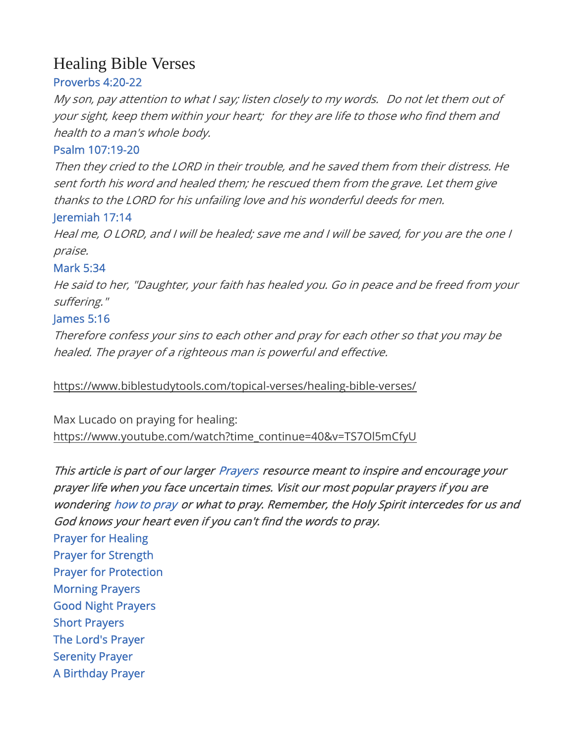# Healing Bible Verses

# Proverbs 4:20-22

My son, pay attention to what I say; listen closely to my words. Do not let them out of your sight, keep them within your heart; for they are life to those who find them and health to a man's whole body.

# Psalm 107:19-20

Then they cried to the LORD in their trouble, and he saved them from their distress. He sent forth his word and healed them; he rescued them from the grave. Let them give thanks to the LORD for his unfailing love and his wonderful deeds for men.

#### Jeremiah 17:14

Heal me, O LORD, and I will be healed; save me and I will be saved, for you are the one I praise.

# Mark 5:34

He said to her, "Daughter, your faith has healed you. Go in peace and be freed from your suffering."

# James 5:16

Therefore confess your sins to each other and pray for each other so that you may be healed. The prayer of a righteous man is powerful and effective.

# https://www.biblestudytools.com/topical-verses/healing-bible-verses/

Max Lucado on praying for healing: https://www.youtube.com/watch?time\_continue=40&v=TS7Ol5mCfyU

This article is part of our larger Prayers resource meant to inspire and encourage your prayer life when you face uncertain times. Visit our most popular prayers if you are wondering how to pray or what to pray. Remember, the Holy Spirit intercedes for us and God knows your heart even if you can't find the words to pray.

Prayer for Healing Prayer for Strength Prayer for Protection Morning Prayers Good Night Prayers Short Prayers The Lord's Prayer Serenity Prayer A Birthday Prayer